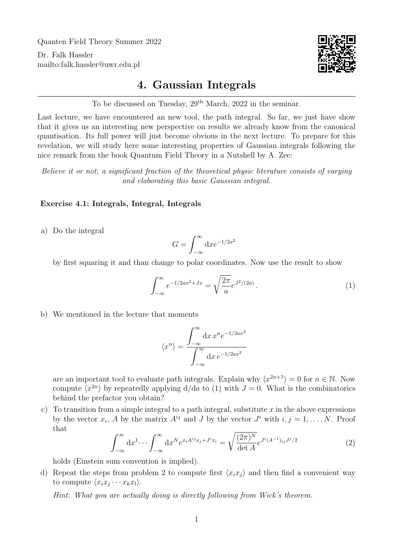Quanten Field Theory Summer 2022

Dr. Falk Hassler <mailto:falk.hassler@uwr.edu.pl>



## 4. Gaussian Integrals

To be discussed on Tuesday,  $29<sup>th</sup> March$ ,  $2022$  in the seminar.

Last lecture, we have encountered an new tool, the path integral. So far, we just have show that it gives us an interesting new perspective on results we already know from the canonical quantisation. Its full power will just become obvious in the next lecture. To prepare for this revelation, we will study here some interesting properties of Gaussian integrals following the nice remark from the book Quantum Field Theory in a Nutshell by A. Zee:

Believe it or not, a significant fraction of the theoretical physic literature consists of varying and elaborating this basic Gaussian integral.

## Exercise 4.1: Integrals, Integral, Integrals

a) Do the integral

$$
G = \int_{-\infty}^{\infty} \mathrm{d}x e^{-1/2x^2}
$$

by first squaring it and than change to polar coordinates. Now use the result to show

<span id="page-0-0"></span>
$$
\int_{-\infty}^{\infty} e^{-1/2ax^2 + Jx} = \sqrt{\frac{2\pi}{a}} e^{J^2/(2a)}.
$$
 (1)

<span id="page-0-1"></span>b) We mentioned in the lecture that moments

$$
\langle x^n \rangle = \frac{\int_{-\infty}^{\infty} dx \, x^n e^{-1/2ax^2}}{\int_{-\infty}^{\infty} dx \, e^{-1/2ax^2}}
$$

are an important tool to evaluate path integrals. Explain why  $\langle x^{2n+1} \rangle = 0$  for  $n \in \mathbb{N}$ . Now compute  $\langle x^{2n} \rangle$  by repeatedly applying  $d/da$  to [\(1\)](#page-0-0) with  $J = 0$ . What is the combinatorics behind the prefactor you obtain?

c) To transition from a simple integral to a path integral, substitute  $x$  in the above expressions by the vector  $x_i$ , A by the matrix  $A^{ij}$  and J by the vector  $J^i$  with  $i, j = 1, ..., N$ . Proof that

<span id="page-0-2"></span>
$$
\int_{-\infty}^{\infty} dx^{1} \cdots \int_{-\infty}^{\infty} dx^{N} e^{x_{i} A^{ij} x_{j} + J^{i} x_{i}} = \sqrt{\frac{(2\pi)^{N}}{\det A}} e^{J^{i} (A^{-1})_{ij} J^{j}/2}
$$
(2)

holds (Einstein sum convention is implied).

d) Repeat the steps from problem [2](#page-0-1) to compute first  $\langle x_i x_j \rangle$  and then find a convenient way to compute  $\langle x_i x_j \cdots x_k x_l \rangle$ .

Hint: What you are actually doing is directly following from Wick's theorem.